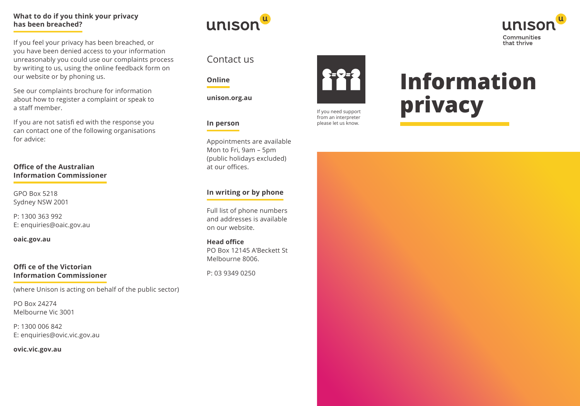## **What to do if you think your privacy has been breached?**

If you feel your privacy has been breached, or you have been denied access to your information unreasonably you could use our complaints process by writing to us, using the online feedback form on our website or by phoning us.

See our complaints brochure for information about how to register a complaint or speak to a staff member.

If you are not satisfi ed with the response you can contact one of the following organisations for advice:

#### **Office of the Australian Information Commissioner**

GPO Box 5218 Sydney NSW 2001

P: 1300 363 992 E: enquiries@oaic.gov.au

**oaic.gov.au**

#### **Offi ce of the Victorian Information Commissioner**

(where Unison is acting on behalf of the public sector)

PO Box 24274 Melbourne Vic 3001

P: 1300 006 842 E: enquiries@ovic.vic.gov.au

**ovic.vic.gov.au**



# Contact us

#### **Online**

**unison.org.au**

# **In person**

Appointments are available Mon to Fri, 9am – 5pm (public holidays excluded) at our offices.

# **In writing or by phone**

Full list of phone numbers and addresses is available on our website.

**Head office** PO Box 12145 A'Beckett St Melbourne 8006.

P: 03 9349 0250



If you need support from an interpreter please let us know.

# **Information privacy**